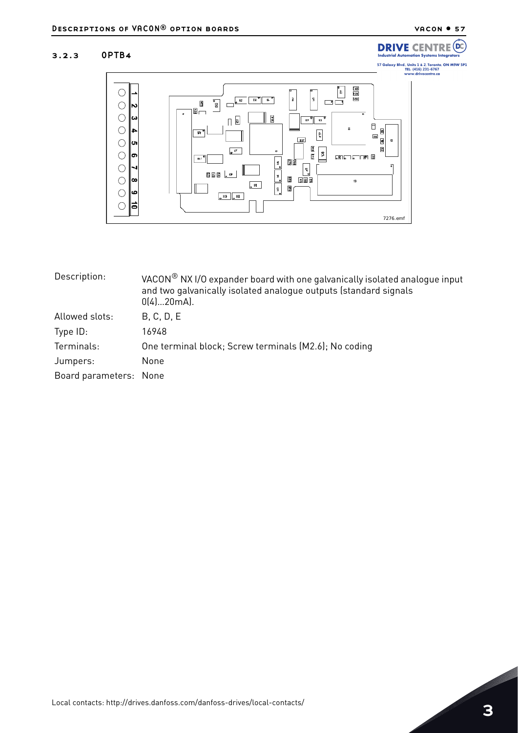**DRIVE CENTRE** 

ation Systems I

Ind trial Aute (DC

## 3.2.3 OPTB4



| Description:           | VACON <sup>®</sup> NXI/O expander board with one galvanically isolated analogue input<br>and two galvanically isolated analogue outputs (standard signals<br>$0(4)20mA$ . |  |
|------------------------|---------------------------------------------------------------------------------------------------------------------------------------------------------------------------|--|
| Allowed slots:         | B, C, D, E                                                                                                                                                                |  |
| Type $ID:$             | 16948                                                                                                                                                                     |  |
| Terminals:             | One terminal block; Screw terminals (M2.6); No coding                                                                                                                     |  |
| Jumpers:               | None                                                                                                                                                                      |  |
| Board parameters: None |                                                                                                                                                                           |  |
|                        |                                                                                                                                                                           |  |